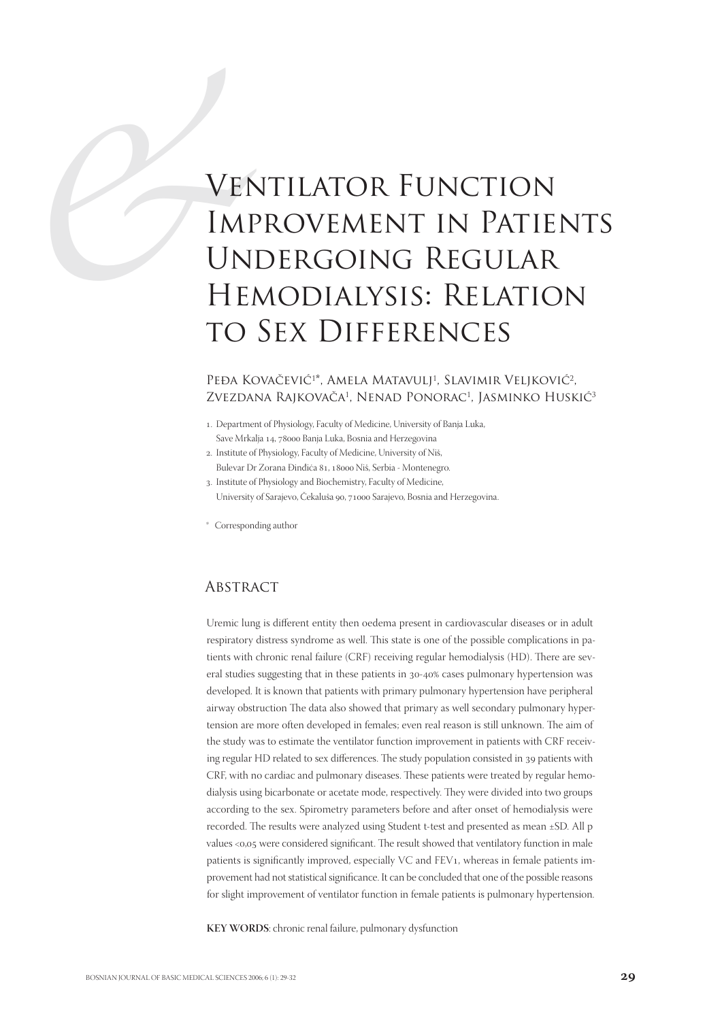# VEN IMI<br>
IMI<br>
UN<br>
HEI<br>
TO Ventilator Function Improvement in Patients Undergoing Regular Hemodialysis: Relation to Sex Differences

#### Peđa Kovačević<sup>1\*</sup>, Amela Matavuli<sup>1</sup>, Slavimir Veljković<sup>2</sup>, Zvezdana Rajkovača<sup>1</sup>, Nenad Ponorac<sup>1</sup>, Jasminko Huskić<sup>3</sup>

- . Department of Physiology, Faculty of Medicine, University of Banja Luka, Save Mrkalja 14, 78000 Banja Luka, Bosnia and Herzegovina
- . Institute of Physiology, Faculty of Medicine, University of Niš,
- Bulevar Dr Zorana Đinđića 81, 18000 Niš, Serbia Montenegro.
- . Institute of Physiology and Biochemistry, Faculty of Medicine, University of Sarajevo, Čekaluša 90, 71000 Sarajevo, Bosnia and Herzegovina.
- \* Corresponding author

## **ABSTRACT**

Uremic lung is different entity then oedema present in cardiovascular diseases or in adult respiratory distress syndrome as well. This state is one of the possible complications in patients with chronic renal failure (CRF) receiving regular hemodialysis (HD). There are several studies suggesting that in these patients in 30-40% cases pulmonary hypertension was developed. It is known that patients with primary pulmonary hypertension have peripheral airway obstruction The data also showed that primary as well secondary pulmonary hypertension are more often developed in females; even real reason is still unknown. The aim of the study was to estimate the ventilator function improvement in patients with CRF receiving regular HD related to sex differences. The study population consisted in 39 patients with CRF, with no cardiac and pulmonary diseases. These patients were treated by regular hemodialysis using bicarbonate or acetate mode, respectively. They were divided into two groups according to the sex. Spirometry parameters before and after onset of hemodialysis were recorded. The results were analyzed using Student t-test and presented as mean ±SD. All p values <0,05 were considered significant. The result showed that ventilatory function in male patients is significantly improved, especially VC and FEV1, whereas in female patients improvement had not statistical significance. It can be concluded that one of the possible reasons for slight improvement of ventilator function in female patients is pulmonary hypertension.

**KEY WORDS**: chronic renal failure, pulmonary dysfunction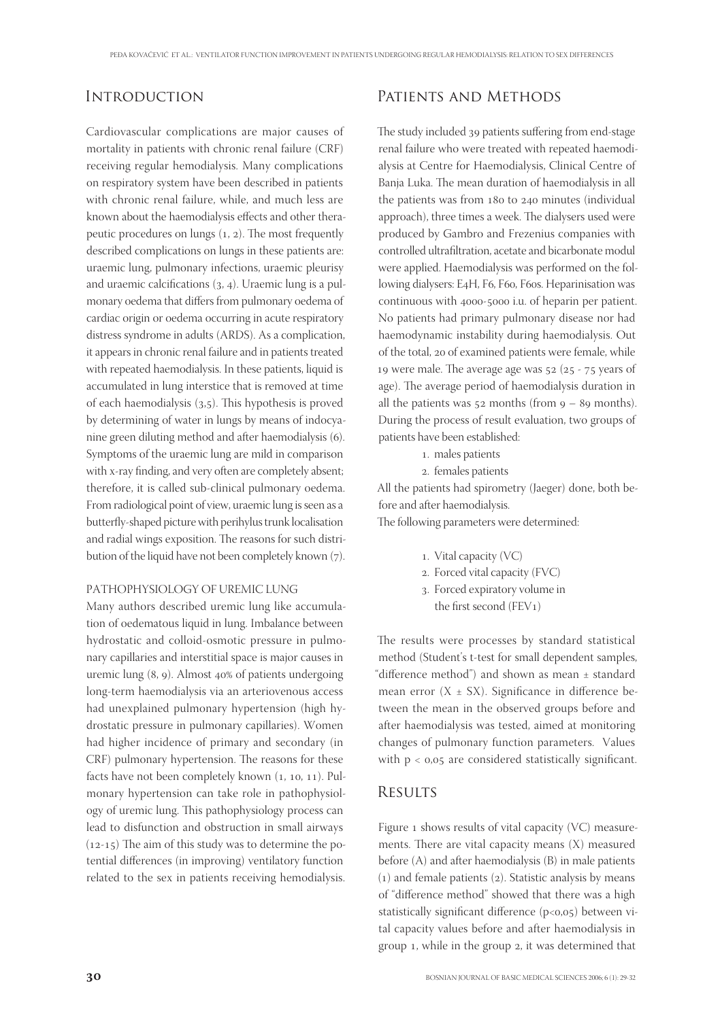#### **INTRODUCTION**

Cardiovascular complications are major causes of mortality in patients with chronic renal failure (CRF) receiving regular hemodialysis. Many complications on respiratory system have been described in patients with chronic renal failure, while, and much less are known about the haemodialysis effects and other therapeutic procedures on lungs  $(1, 2)$ . The most frequently described complications on lungs in these patients are: uraemic lung, pulmonary infections, uraemic pleurisy and uraemic calcifications  $(3, 4)$ . Uraemic lung is a pulmonary oedema that differs from pulmonary oedema of cardiac origin or oedema occurring in acute respiratory distress syndrome in adults (ARDS). As a complication, it appears in chronic renal failure and in patients treated with repeated haemodialysis. In these patients, liquid is accumulated in lung interstice that is removed at time of each haemodialysis  $(3,5)$ . This hypothesis is proved by determining of water in lungs by means of indocyanine green diluting method and after haemodialysis (6). Symptoms of the uraemic lung are mild in comparison with x-ray finding, and very often are completely absent; therefore, it is called sub-clinical pulmonary oedema. From radiological point of view, uraemic lung is seen as a butterfly-shaped picture with perihylus trunk localisation and radial wings exposition. The reasons for such distribution of the liquid have not been completely known  $(7)$ .

#### PATHOPHYSIOLOGY OF UREMIC LUNG

Many authors described uremic lung like accumulation of oedematous liquid in lung. Imbalance between hydrostatic and colloid-osmotic pressure in pulmonary capillaries and interstitial space is major causes in uremic lung  $(8, 9)$ . Almost  $40\%$  of patients undergoing long-term haemodialysis via an arteriovenous access had unexplained pulmonary hypertension (high hydrostatic pressure in pulmonary capillaries). Women had higher incidence of primary and secondary (in CRF) pulmonary hypertension. The reasons for these facts have not been completely known  $(1, 10, 11)$ . Pulmonary hypertension can take role in pathophysiology of uremic lung. This pathophysiology process can lead to disfunction and obstruction in small airways  $(12-15)$  The aim of this study was to determine the potential differences (in improving) ventilatory function related to the sex in patients receiving hemodialysis.

#### PATIENTS AND METHODS

The study included 39 patients suffering from end-stage renal failure who were treated with repeated haemodialysis at Centre for Haemodialysis, Clinical Centre of Banja Luka. The mean duration of haemodialysis in all the patients was from  $180$  to  $240$  minutes (individual approach), three times a week. The dialysers used were produced by Gambro and Frezenius companies with controlled ultrafiltration, acetate and bicarbonate modul were applied. Haemodialysis was performed on the following dialysers: E4H, F6, F60, F60s. Heparinisation was continuous with 4000-5000 i.u. of heparin per patient. No patients had primary pulmonary disease nor had haemodynamic instability during haemodialysis. Out of the total, 20 of examined patients were female, while 19 were male. The average age was  $52$  ( $25$  -  $75$  years of age). The average period of haemodialysis duration in all the patients was  $52$  months (from  $9 - 89$  months). During the process of result evaluation, two groups of patients have been established:

- . males patients
- . females patients

All the patients had spirometry (Jaeger) done, both before and after haemodialysis.

The following parameters were determined:

- . Vital capacity (VC)
- . Forced vital capacity (FVC)
- . Forced expiratory volume in the first second (FEV<sub>1</sub>)

The results were processes by standard statistical method (Student's t-test for small dependent samples, "difference method") and shown as mean ± standard mean error  $(X \pm SX)$ . Significance in difference between the mean in the observed groups before and after haemodialysis was tested, aimed at monitoring changes of pulmonary function parameters. Values with  $p < 0.05$  are considered statistically significant.

#### **RESULTS**

Figure 1 shows results of vital capacity (VC) measurements. There are vital capacity means (X) measured before (A) and after haemodialysis (B) in male patients  $(1)$  and female patients  $(2)$ . Statistic analysis by means of "difference method" showed that there was a high statistically significant difference  $(p<0.05)$  between vital capacity values before and after haemodialysis in group 1, while in the group 2, it was determined that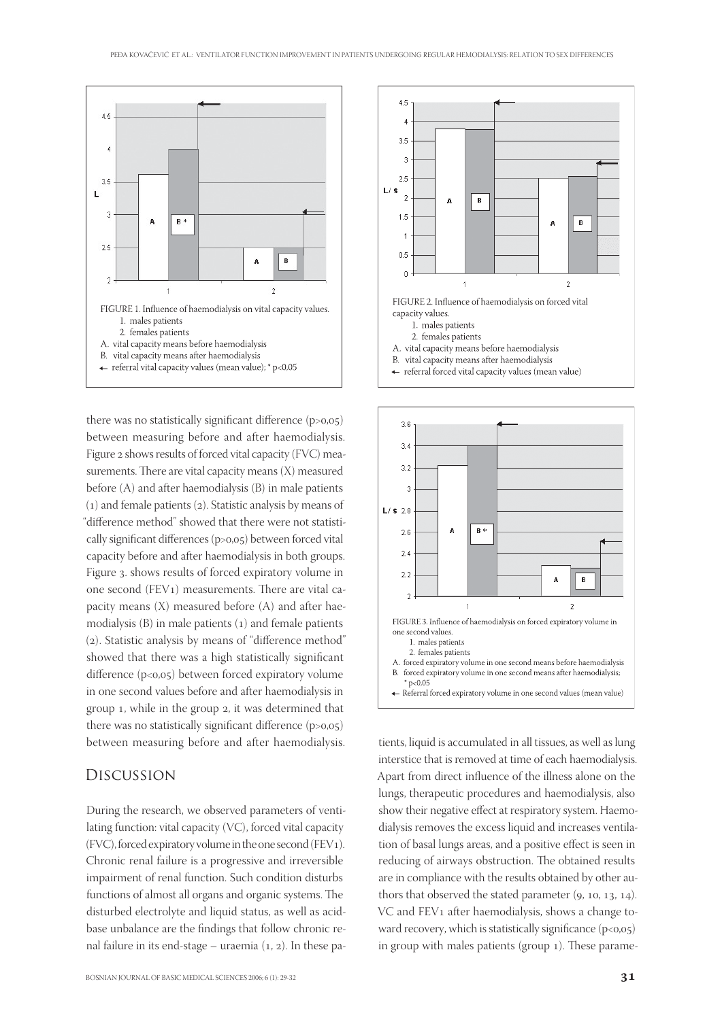

there was no statistically significant difference  $(p>0,0.05)$ between measuring before and after haemodialysis. Figure 2 shows results of forced vital capacity (FVC) measurements. There are vital capacity means (X) measured before (A) and after haemodialysis (B) in male patients  $(1)$  and female patients  $(2)$ . Statistic analysis by means of "difference method" showed that there were not statistically significant differences (p>0,05) between forced vital capacity before and after haemodialysis in both groups. Figure 3. shows results of forced expiratory volume in one second (FEV<sub>1</sub>) measurements. There are vital capacity means (X) measured before (A) and after haemodialysis  $(B)$  in male patients  $(1)$  and female patients (). Statistic analysis by means of "difference method" showed that there was a high statistically significant difference  $(p<sub>0</sub>,0<sub>5</sub>)$  between forced expiratory volume in one second values before and after haemodialysis in group 1, while in the group 2, it was determined that there was no statistically significant difference  $(p>0,05)$ between measuring before and after haemodialysis.

### Discussion

During the research, we observed parameters of ventilating function: vital capacity (VC), forced vital capacity (FVC), forced expiratory volume in the one second (FEV). Chronic renal failure is a progressive and irreversible impairment of renal function. Such condition disturbs functions of almost all organs and organic systems. The disturbed electrolyte and liquid status, as well as acidbase unbalance are the findings that follow chronic renal failure in its end-stage – uraemia  $(1, 2)$ . In these pa-





tients, liquid is accumulated in all tissues, as well as lung interstice that is removed at time of each haemodialysis. Apart from direct influence of the illness alone on the lungs, therapeutic procedures and haemodialysis, also show their negative effect at respiratory system. Haemodialysis removes the excess liquid and increases ventilation of basal lungs areas, and a positive effect is seen in reducing of airways obstruction. The obtained results are in compliance with the results obtained by other authors that observed the stated parameter  $(9, 10, 13, 14)$ . VC and FEV<sub>1</sub> after haemodialysis, shows a change toward recovery, which is statistically significance  $(p<0.05)$ in group with males patients (group 1). These parame-